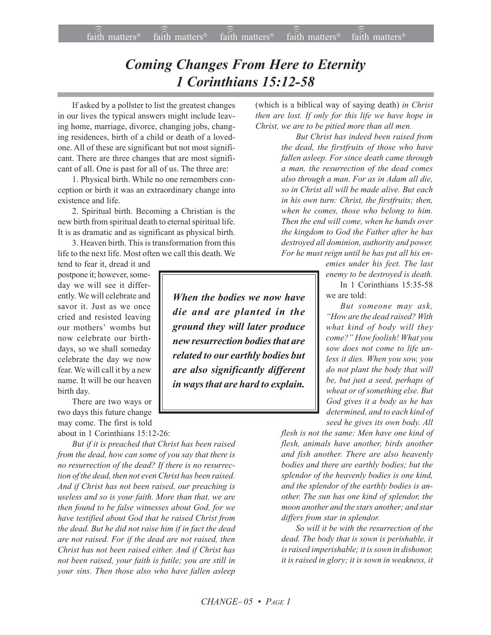## *Coming Changes From Here to Eternity 1 Corinthians 15:12-58*

If asked by a pollster to list the greatest changes in our lives the typical answers might include leaving home, marriage, divorce, changing jobs, changing residences, birth of a child or death of a lovedone. All of these are significant but not most significant. There are three changes that are most significant of all. One is past for all of us. The three are:

1. Physical birth. While no one remembers conception or birth it was an extraordinary change into existence and life.

2. Spiritual birth. Becoming a Christian is the new birth from spiritual death to eternal spiritual life. It is as dramatic and as significant as physical birth.

3. Heaven birth. This is transformation from this life to the next life. Most often we call this death. We

tend to fear it, dread it and postpone it; however, someday we will see it differently. We will celebrate and savor it. Just as we once cried and resisted leaving our mothers' wombs but now celebrate our birthdays, so we shall someday celebrate the day we now fear. We will call it by a new name. It will be our heaven birth day.

There are two ways or two days this future change may come. The first is told about in 1 Corinthians 15:12-26:

*But if it is preached that Christ has been raised from the dead, how can some of you say that there is no resurrection of the dead? If there is no resurrection of the dead, then not even Christ has been raised. And if Christ has not been raised, our preaching is useless and so is your faith. More than that, we are then found to be false witnesses about God, for we have testified about God that he raised Christ from the dead. But he did not raise him if in fact the dead are not raised. For if the dead are not raised, then Christ has not been raised either. And if Christ has not been raised, your faith is futile; you are still in your sins. Then those also who have fallen asleep*

(which is a biblical way of saying death) *in Christ then are lost. If only for this life we have hope in Christ, we are to be pitied more than all men.*

> *But Christ has indeed been raised from the dead, the firstfruits of those who have fallen asleep. For since death came through a man, the resurrection of the dead comes also through a man. For as in Adam all die, so in Christ all will be made alive. But each in his own turn: Christ, the firstfruits; then, when he comes, those who belong to him. Then the end will come, when he hands over the kingdom to God the Father after he has destroyed all dominion, authority and power. For he must reign until he has put all his en-*

*emies under his feet. The last enemy to be destroyed is death.*

In 1 Corinthians 15:35-58 we are told:

*But someone may ask, ìHow are the dead raised? With what kind of body will they come?î How foolish! What you sow does not come to life unless it dies. When you sow, you do not plant the body that will be, but just a seed, perhaps of wheat or of something else. But God gives it a body as he has determined, and to each kind of seed he gives its own body. All*

*flesh is not the same: Men have one kind of flesh, animals have another, birds another and fish another. There are also heavenly bodies and there are earthly bodies; but the splendor of the heavenly bodies is one kind, and the splendor of the earthly bodies is another. The sun has one kind of splendor, the moon another and the stars another; and star differs from star in splendor.*

*So will it be with the resurrection of the dead. The body that is sown is perishable, it is raised imperishable; it is sown in dishonor, it is raised in glory; it is sown in weakness, it*

*When the bodies we now have die and are planted in the ground they will later produce new resurrection bodies that are related to our earthly bodies but are also significantly different in ways that are hard to explain.*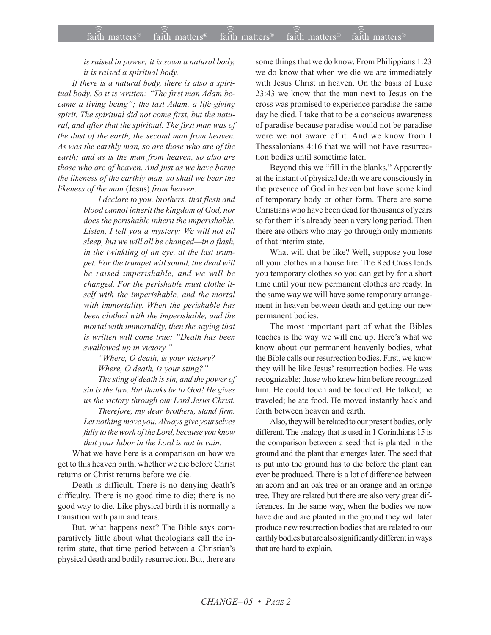*is raised in power; it is sown a natural body, it is raised a spiritual body.*

*If there is a natural body, there is also a spiri*tual body. So it is written: "The first man Adam be*came a living beingî; the last Adam, a life-giving spirit. The spiritual did not come first, but the natural, and after that the spiritual. The first man was of the dust of the earth, the second man from heaven. As was the earthly man, so are those who are of the earth; and as is the man from heaven, so also are those who are of heaven. And just as we have borne the likeness of the earthly man, so shall we bear the likeness of the man* (Jesus) *from heaven.*

> *I declare to you, brothers, that flesh and blood cannot inherit the kingdom of God, nor does the perishable inherit the imperishable. Listen, I tell you a mystery: We will not all sleep, but we will all be changed—in a flash, in the twinkling of an eye, at the last trumpet. For the trumpet will sound, the dead will be raised imperishable, and we will be changed. For the perishable must clothe itself with the imperishable, and the mortal with immortality. When the perishable has been clothed with the imperishable, and the mortal with immortality, then the saying that is written will come true: "Death has been swallowed up in victory.*"

*ìWhere, O death, is your victory? Where, O death, is your sting?*" *The sting of death is sin, and the power of*

*sin is the law. But thanks be to God! He gives us the victory through our Lord Jesus Christ. Therefore, my dear brothers, stand firm.*

*Let nothing move you. Always give yourselves fully to the work of the Lord, because you know that your labor in the Lord is not in vain.*

What we have here is a comparison on how we get to this heaven birth, whether we die before Christ returns or Christ returns before we die.

Death is difficult. There is no denying death's difficulty. There is no good time to die; there is no good way to die. Like physical birth it is normally a transition with pain and tears.

But, what happens next? The Bible says comparatively little about what theologians call the interim state, that time period between a Christian's physical death and bodily resurrection. But, there are some things that we do know. From Philippians 1:23 we do know that when we die we are immediately with Jesus Christ in heaven. On the basis of Luke 23:43 we know that the man next to Jesus on the cross was promised to experience paradise the same day he died. I take that to be a conscious awareness of paradise because paradise would not be paradise were we not aware of it. And we know from I Thessalonians 4:16 that we will not have resurrection bodies until sometime later.

Beyond this we "fill in the blanks." Apparently at the instant of physical death we are consciously in the presence of God in heaven but have some kind of temporary body or other form. There are some Christians who have been dead for thousands of years so for them it's already been a very long period. Then there are others who may go through only moments of that interim state.

What will that be like? Well, suppose you lose all your clothes in a house fire. The Red Cross lends you temporary clothes so you can get by for a short time until your new permanent clothes are ready. In the same way we will have some temporary arrangement in heaven between death and getting our new permanent bodies.

The most important part of what the Bibles teaches is the way we will end up. Here's what we know about our permanent heavenly bodies, what the Bible calls our resurrection bodies. First, we know they will be like Jesus' resurrection bodies. He was recognizable; those who knew him before recognized him. He could touch and be touched. He talked; he traveled; he ate food. He moved instantly back and forth between heaven and earth.

Also, they will be related to our present bodies, only different. The analogy that is used in 1 Corinthians 15 is the comparison between a seed that is planted in the ground and the plant that emerges later. The seed that is put into the ground has to die before the plant can ever be produced. There is a lot of difference between an acorn and an oak tree or an orange and an orange tree. They are related but there are also very great differences. In the same way, when the bodies we now have die and are planted in the ground they will later produce new resurrection bodies that are related to our earthly bodies but are also significantly different in ways that are hard to explain.